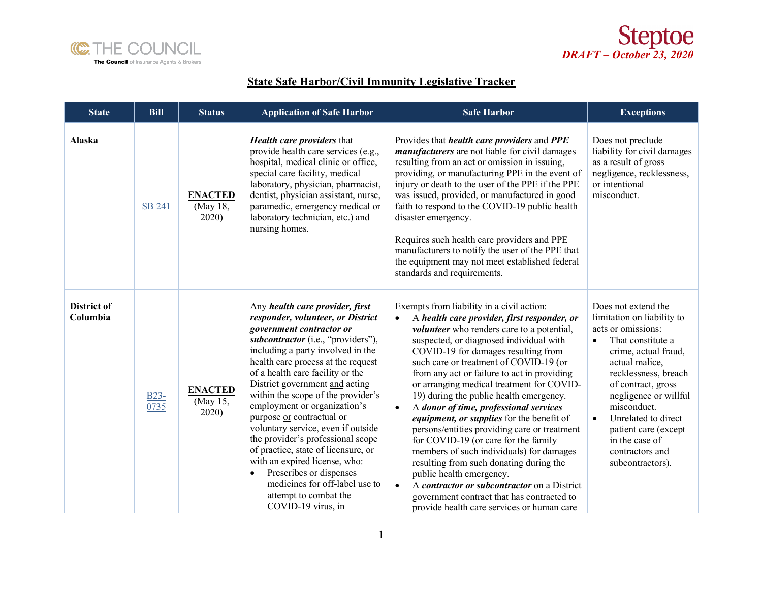



## **State Safe Harbor/Civil Immunity Legislative Tracker**

| <b>State</b>            | <b>Bill</b>               | <b>Status</b>                       | <b>Application of Safe Harbor</b>                                                                                                                                                                                                                                                                                                                                                                                                                                                                                                                                                                                                                                      | <b>Safe Harbor</b>                                                                                                                                                                                                                                                                                                                                                                                                                                                                                                                                                                                                                                                                                                                                                                                                                                                                                   | <b>Exceptions</b>                                                                                                                                                                                                                                                                                                                                              |
|-------------------------|---------------------------|-------------------------------------|------------------------------------------------------------------------------------------------------------------------------------------------------------------------------------------------------------------------------------------------------------------------------------------------------------------------------------------------------------------------------------------------------------------------------------------------------------------------------------------------------------------------------------------------------------------------------------------------------------------------------------------------------------------------|------------------------------------------------------------------------------------------------------------------------------------------------------------------------------------------------------------------------------------------------------------------------------------------------------------------------------------------------------------------------------------------------------------------------------------------------------------------------------------------------------------------------------------------------------------------------------------------------------------------------------------------------------------------------------------------------------------------------------------------------------------------------------------------------------------------------------------------------------------------------------------------------------|----------------------------------------------------------------------------------------------------------------------------------------------------------------------------------------------------------------------------------------------------------------------------------------------------------------------------------------------------------------|
| Alaska                  | SB 241                    | <b>ENACTED</b><br>(May 18,<br>2020) | <b>Health care providers that</b><br>provide health care services (e.g.,<br>hospital, medical clinic or office,<br>special care facility, medical<br>laboratory, physician, pharmacist,<br>dentist, physician assistant, nurse,<br>paramedic, emergency medical or<br>laboratory technician, etc.) and<br>nursing homes.                                                                                                                                                                                                                                                                                                                                               | Provides that <i>health care providers</i> and PPE<br><i>manufacturers</i> are not liable for civil damages<br>resulting from an act or omission in issuing,<br>providing, or manufacturing PPE in the event of<br>injury or death to the user of the PPE if the PPE<br>was issued, provided, or manufactured in good<br>faith to respond to the COVID-19 public health<br>disaster emergency.<br>Requires such health care providers and PPE<br>manufacturers to notify the user of the PPE that<br>the equipment may not meet established federal<br>standards and requirements.                                                                                                                                                                                                                                                                                                                   | Does not preclude<br>liability for civil damages<br>as a result of gross<br>negligence, recklessness,<br>or intentional<br>misconduct.                                                                                                                                                                                                                         |
| District of<br>Columbia | B <sub>23</sub> -<br>0735 | <b>ENACTED</b><br>(May 15,<br>2020) | Any health care provider, first<br>responder, volunteer, or District<br>government contractor or<br>subcontractor (i.e., "providers"),<br>including a party involved in the<br>health care process at the request<br>of a health care facility or the<br>District government and acting<br>within the scope of the provider's<br>employment or organization's<br>purpose or contractual or<br>voluntary service, even if outside<br>the provider's professional scope<br>of practice, state of licensure, or<br>with an expired license, who:<br>Prescribes or dispenses<br>$\bullet$<br>medicines for off-label use to<br>attempt to combat the<br>COVID-19 virus, in | Exempts from liability in a civil action:<br>A health care provider, first responder, or<br>$\bullet$<br><i>volunteer</i> who renders care to a potential,<br>suspected, or diagnosed individual with<br>COVID-19 for damages resulting from<br>such care or treatment of COVID-19 (or<br>from any act or failure to act in providing<br>or arranging medical treatment for COVID-<br>19) during the public health emergency.<br>A donor of time, professional services<br>$\bullet$<br>equipment, or supplies for the benefit of<br>persons/entities providing care or treatment<br>for COVID-19 (or care for the family<br>members of such individuals) for damages<br>resulting from such donating during the<br>public health emergency.<br>A contractor or subcontractor on a District<br>$\bullet$<br>government contract that has contracted to<br>provide health care services or human care | Does not extend the<br>limitation on liability to<br>acts or omissions:<br>That constitute a<br>$\bullet$<br>crime, actual fraud,<br>actual malice,<br>recklessness, breach<br>of contract, gross<br>negligence or willful<br>misconduct.<br>Unrelated to direct<br>$\bullet$<br>patient care (except<br>in the case of<br>contractors and<br>subcontractors). |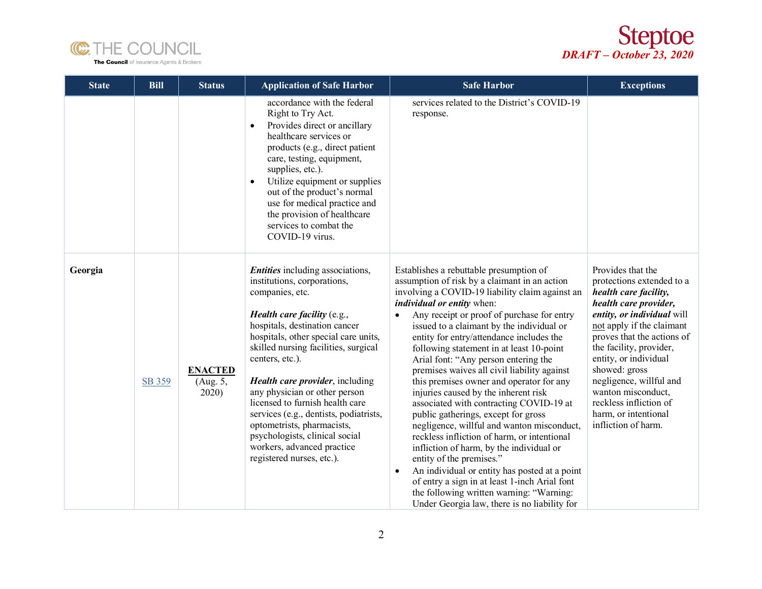



| <b>State</b> | <b>Bill</b> | <b>Status</b>                       | <b>Application of Safe Harbor</b>                                                                                                                                                                                                                                                                                                                                                                                                                                                                                                          | <b>Safe Harbor</b>                                                                                                                                                                                                                                                                                                                                                                                                                                                                                                                                                                                                                                                                                                                                                                                                                                                                                                                                                                                               | <b>Exceptions</b>                                                                                                                                                                                                                                                                                                                                                                        |
|--------------|-------------|-------------------------------------|--------------------------------------------------------------------------------------------------------------------------------------------------------------------------------------------------------------------------------------------------------------------------------------------------------------------------------------------------------------------------------------------------------------------------------------------------------------------------------------------------------------------------------------------|------------------------------------------------------------------------------------------------------------------------------------------------------------------------------------------------------------------------------------------------------------------------------------------------------------------------------------------------------------------------------------------------------------------------------------------------------------------------------------------------------------------------------------------------------------------------------------------------------------------------------------------------------------------------------------------------------------------------------------------------------------------------------------------------------------------------------------------------------------------------------------------------------------------------------------------------------------------------------------------------------------------|------------------------------------------------------------------------------------------------------------------------------------------------------------------------------------------------------------------------------------------------------------------------------------------------------------------------------------------------------------------------------------------|
|              |             |                                     | accordance with the federal<br>Right to Try Act.<br>Provides direct or ancillary<br>healthcare services or<br>products (e.g., direct patient<br>care, testing, equipment,<br>supplies, etc.).<br>Utilize equipment or supplies<br>$\bullet$<br>out of the product's normal<br>use for medical practice and<br>the provision of healthcare<br>services to combat the<br>COVID-19 virus.                                                                                                                                                     | services related to the District's COVID-19<br>response.                                                                                                                                                                                                                                                                                                                                                                                                                                                                                                                                                                                                                                                                                                                                                                                                                                                                                                                                                         |                                                                                                                                                                                                                                                                                                                                                                                          |
| Georgia      | SB 359      | <b>ENACTED</b><br>(Aug. 5,<br>2020) | Entities including associations,<br>institutions, corporations,<br>companies, etc.<br><i>Health care facility</i> $(e.g.,$<br>hospitals, destination cancer<br>hospitals, other special care units,<br>skilled nursing facilities, surgical<br>centers, etc.).<br>Health care provider, including<br>any physician or other person<br>licensed to furnish health care<br>services (e.g., dentists, podiatrists,<br>optometrists, pharmacists,<br>psychologists, clinical social<br>workers, advanced practice<br>registered nurses, etc.). | Establishes a rebuttable presumption of<br>assumption of risk by a claimant in an action<br>involving a COVID-19 liability claim against an<br><i>individual or entity</i> when:<br>Any receipt or proof of purchase for entry<br>issued to a claimant by the individual or<br>entity for entry/attendance includes the<br>following statement in at least 10-point<br>Arial font: "Any person entering the<br>premises waives all civil liability against<br>this premises owner and operator for any<br>injuries caused by the inherent risk<br>associated with contracting COVID-19 at<br>public gatherings, except for gross<br>negligence, willful and wanton misconduct,<br>reckless infliction of harm, or intentional<br>infliction of harm, by the individual or<br>entity of the premises."<br>An individual or entity has posted at a point<br>$\bullet$<br>of entry a sign in at least 1-inch Arial font<br>the following written warning: "Warning:<br>Under Georgia law, there is no liability for | Provides that the<br>protections extended to a<br>health care facility,<br>health care provider,<br>entity, or individual will<br>not apply if the claimant<br>proves that the actions of<br>the facility, provider,<br>entity, or individual<br>showed: gross<br>negligence, willful and<br>wanton misconduct,<br>reckless infliction of<br>harm, or intentional<br>infliction of harm. |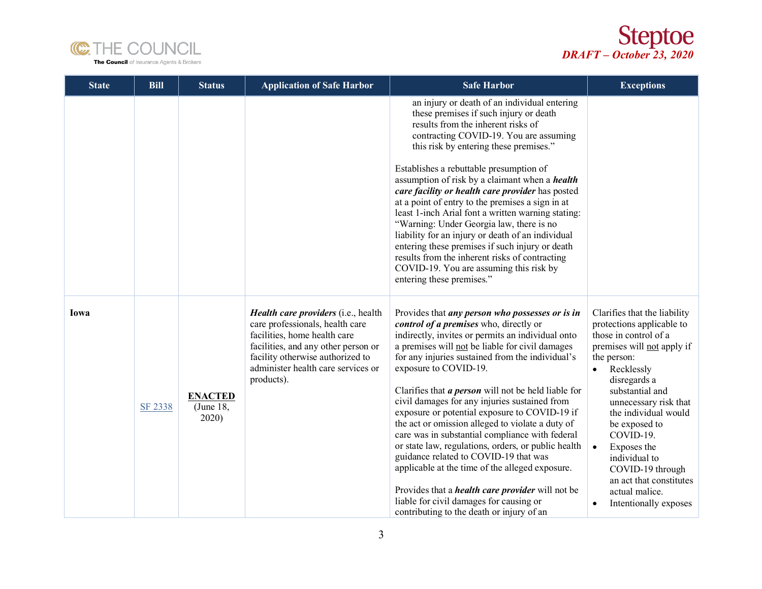



| <b>State</b> | <b>Bill</b> | <b>Status</b>                        | <b>Application of Safe Harbor</b>                                                                                                                                                                                                     | <b>Safe Harbor</b>                                                                                                                                                                                                                                                                                                                                                                                                                                                                                                                                                                                                                                                                                                                                                                                                                                            | <b>Exceptions</b>                                                                                                                                                                                                                                                                                                                                                                                                                |
|--------------|-------------|--------------------------------------|---------------------------------------------------------------------------------------------------------------------------------------------------------------------------------------------------------------------------------------|---------------------------------------------------------------------------------------------------------------------------------------------------------------------------------------------------------------------------------------------------------------------------------------------------------------------------------------------------------------------------------------------------------------------------------------------------------------------------------------------------------------------------------------------------------------------------------------------------------------------------------------------------------------------------------------------------------------------------------------------------------------------------------------------------------------------------------------------------------------|----------------------------------------------------------------------------------------------------------------------------------------------------------------------------------------------------------------------------------------------------------------------------------------------------------------------------------------------------------------------------------------------------------------------------------|
|              |             |                                      |                                                                                                                                                                                                                                       | an injury or death of an individual entering<br>these premises if such injury or death<br>results from the inherent risks of<br>contracting COVID-19. You are assuming<br>this risk by entering these premises."<br>Establishes a rebuttable presumption of<br>assumption of risk by a claimant when a <i>health</i><br>care facility or health care provider has posted<br>at a point of entry to the premises a sign in at<br>least 1-inch Arial font a written warning stating:<br>"Warning: Under Georgia law, there is no<br>liability for an injury or death of an individual<br>entering these premises if such injury or death<br>results from the inherent risks of contracting<br>COVID-19. You are assuming this risk by<br>entering these premises."                                                                                              |                                                                                                                                                                                                                                                                                                                                                                                                                                  |
| Iowa         | SF 2338     | <b>ENACTED</b><br>(June 18,<br>2020) | Health care providers (i.e., health<br>care professionals, health care<br>facilities, home health care<br>facilities, and any other person or<br>facility otherwise authorized to<br>administer health care services or<br>products). | Provides that <i>any person who possesses or is in</i><br>control of a premises who, directly or<br>indirectly, invites or permits an individual onto<br>a premises will not be liable for civil damages<br>for any injuries sustained from the individual's<br>exposure to COVID-19.<br>Clarifies that $a$ person will not be held liable for<br>civil damages for any injuries sustained from<br>exposure or potential exposure to COVID-19 if<br>the act or omission alleged to violate a duty of<br>care was in substantial compliance with federal<br>or state law, regulations, orders, or public health<br>guidance related to COVID-19 that was<br>applicable at the time of the alleged exposure.<br>Provides that a <i>health care provider</i> will not be<br>liable for civil damages for causing or<br>contributing to the death or injury of an | Clarifies that the liability<br>protections applicable to<br>those in control of a<br>premises will not apply if<br>the person:<br>Recklessly<br>$\bullet$<br>disregards a<br>substantial and<br>unnecessary risk that<br>the individual would<br>be exposed to<br>COVID-19.<br>Exposes the<br>$\bullet$<br>individual to<br>COVID-19 through<br>an act that constitutes<br>actual malice.<br>Intentionally exposes<br>$\bullet$ |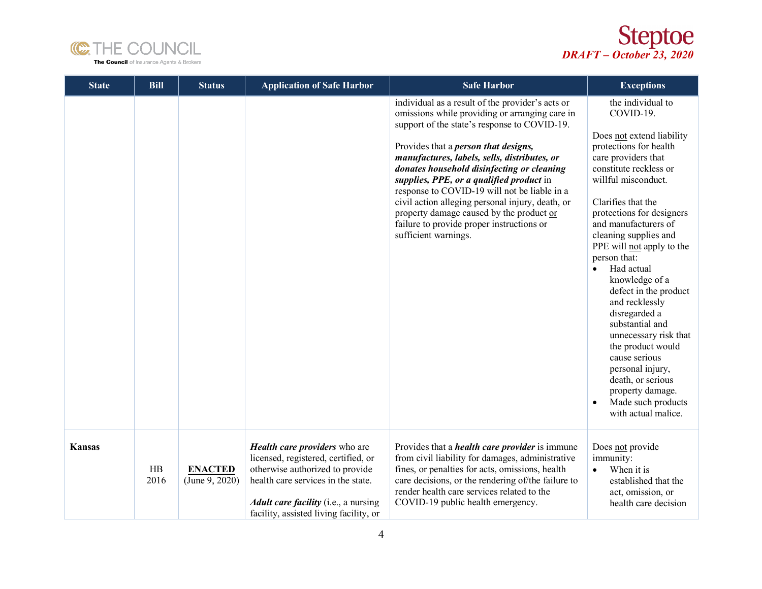



| <b>State</b>  | <b>Bill</b> | <b>Status</b>                    | <b>Application of Safe Harbor</b>                                                                                                                                                                                               | <b>Safe Harbor</b>                                                                                                                                                                                                                                                                                                                                                                                                                                                                                                                                                | <b>Exceptions</b>                                                                                                                                                                                                                                                                                                                                                                                                                                                                                                                                                                                                                |
|---------------|-------------|----------------------------------|---------------------------------------------------------------------------------------------------------------------------------------------------------------------------------------------------------------------------------|-------------------------------------------------------------------------------------------------------------------------------------------------------------------------------------------------------------------------------------------------------------------------------------------------------------------------------------------------------------------------------------------------------------------------------------------------------------------------------------------------------------------------------------------------------------------|----------------------------------------------------------------------------------------------------------------------------------------------------------------------------------------------------------------------------------------------------------------------------------------------------------------------------------------------------------------------------------------------------------------------------------------------------------------------------------------------------------------------------------------------------------------------------------------------------------------------------------|
|               |             |                                  |                                                                                                                                                                                                                                 | individual as a result of the provider's acts or<br>omissions while providing or arranging care in<br>support of the state's response to COVID-19.<br>Provides that a <i>person that designs</i> ,<br>manufactures, labels, sells, distributes, or<br>donates household disinfecting or cleaning<br>supplies, PPE, or a qualified product in<br>response to COVID-19 will not be liable in a<br>civil action alleging personal injury, death, or<br>property damage caused by the product or<br>failure to provide proper instructions or<br>sufficient warnings. | the individual to<br>COVID-19.<br>Does not extend liability<br>protections for health<br>care providers that<br>constitute reckless or<br>willful misconduct.<br>Clarifies that the<br>protections for designers<br>and manufacturers of<br>cleaning supplies and<br>PPE will not apply to the<br>person that:<br>Had actual<br>$\bullet$<br>knowledge of a<br>defect in the product<br>and recklessly<br>disregarded a<br>substantial and<br>unnecessary risk that<br>the product would<br>cause serious<br>personal injury,<br>death, or serious<br>property damage.<br>Made such products<br>$\bullet$<br>with actual malice. |
| <b>Kansas</b> | HB<br>2016  | <b>ENACTED</b><br>(June 9, 2020) | Health care providers who are<br>licensed, registered, certified, or<br>otherwise authorized to provide<br>health care services in the state.<br>Adult care facility (i.e., a nursing<br>facility, assisted living facility, or | Provides that a <i>health care provider</i> is immune<br>from civil liability for damages, administrative<br>fines, or penalties for acts, omissions, health<br>care decisions, or the rendering of/the failure to<br>render health care services related to the<br>COVID-19 public health emergency.                                                                                                                                                                                                                                                             | Does not provide<br>immunity:<br>When it is<br>$\bullet$<br>established that the<br>act, omission, or<br>health care decision                                                                                                                                                                                                                                                                                                                                                                                                                                                                                                    |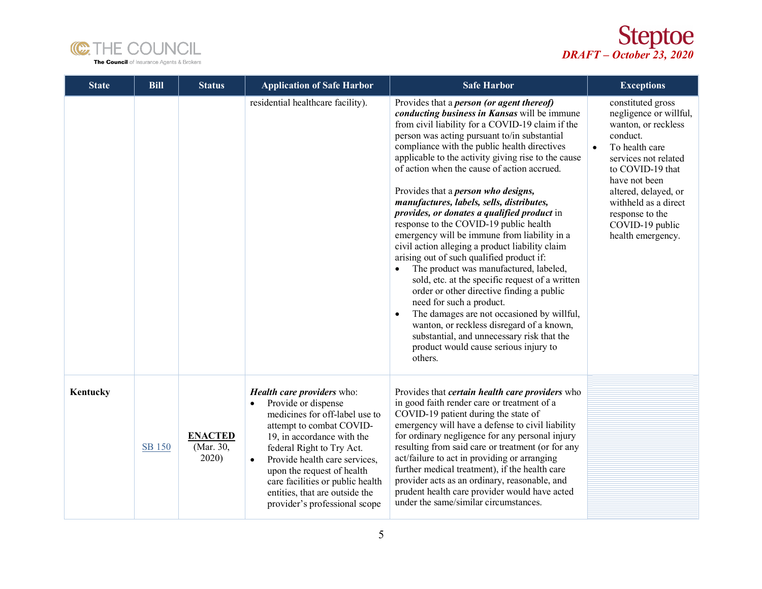



| <b>State</b> | <b>Bill</b>   | <b>Status</b>                        | <b>Application of Safe Harbor</b>                                                                                                                                                                                                                                                                                                                                          | <b>Safe Harbor</b>                                                                                                                                                                                                                                                                                                                                                                                                                                                                                                                                                                                                                                                                                                                                                                                                                                                                                                                                                                                                                                                                     | <b>Exceptions</b>                                                                                                                                                                                                                                                                     |
|--------------|---------------|--------------------------------------|----------------------------------------------------------------------------------------------------------------------------------------------------------------------------------------------------------------------------------------------------------------------------------------------------------------------------------------------------------------------------|----------------------------------------------------------------------------------------------------------------------------------------------------------------------------------------------------------------------------------------------------------------------------------------------------------------------------------------------------------------------------------------------------------------------------------------------------------------------------------------------------------------------------------------------------------------------------------------------------------------------------------------------------------------------------------------------------------------------------------------------------------------------------------------------------------------------------------------------------------------------------------------------------------------------------------------------------------------------------------------------------------------------------------------------------------------------------------------|---------------------------------------------------------------------------------------------------------------------------------------------------------------------------------------------------------------------------------------------------------------------------------------|
|              |               |                                      | residential healthcare facility).                                                                                                                                                                                                                                                                                                                                          | Provides that a <i>person (or agent thereof)</i><br>conducting business in Kansas will be immune<br>from civil liability for a COVID-19 claim if the<br>person was acting pursuant to/in substantial<br>compliance with the public health directives<br>applicable to the activity giving rise to the cause<br>of action when the cause of action accrued.<br>Provides that a <i>person who designs</i> ,<br>manufactures, labels, sells, distributes,<br><i>provides, or donates a qualified product</i> in<br>response to the COVID-19 public health<br>emergency will be immune from liability in a<br>civil action alleging a product liability claim<br>arising out of such qualified product if:<br>The product was manufactured, labeled,<br>sold, etc. at the specific request of a written<br>order or other directive finding a public<br>need for such a product.<br>The damages are not occasioned by willful,<br>$\bullet$<br>wanton, or reckless disregard of a known,<br>substantial, and unnecessary risk that the<br>product would cause serious injury to<br>others. | constituted gross<br>negligence or willful,<br>wanton, or reckless<br>conduct.<br>To health care<br>$\bullet$<br>services not related<br>to COVID-19 that<br>have not been<br>altered, delayed, or<br>withheld as a direct<br>response to the<br>COVID-19 public<br>health emergency. |
| Kentucky     | <b>SB 150</b> | <b>ENACTED</b><br>(Mar. 30,<br>2020) | Health care providers who:<br>Provide or dispense<br>$\bullet$<br>medicines for off-label use to<br>attempt to combat COVID-<br>19, in accordance with the<br>federal Right to Try Act.<br>Provide health care services,<br>$\bullet$<br>upon the request of health<br>care facilities or public health<br>entities, that are outside the<br>provider's professional scope | Provides that <i>certain</i> health care providers who<br>in good faith render care or treatment of a<br>COVID-19 patient during the state of<br>emergency will have a defense to civil liability<br>for ordinary negligence for any personal injury<br>resulting from said care or treatment (or for any<br>act/failure to act in providing or arranging<br>further medical treatment), if the health care<br>provider acts as an ordinary, reasonable, and<br>prudent health care provider would have acted<br>under the same/similar circumstances.                                                                                                                                                                                                                                                                                                                                                                                                                                                                                                                                 |                                                                                                                                                                                                                                                                                       |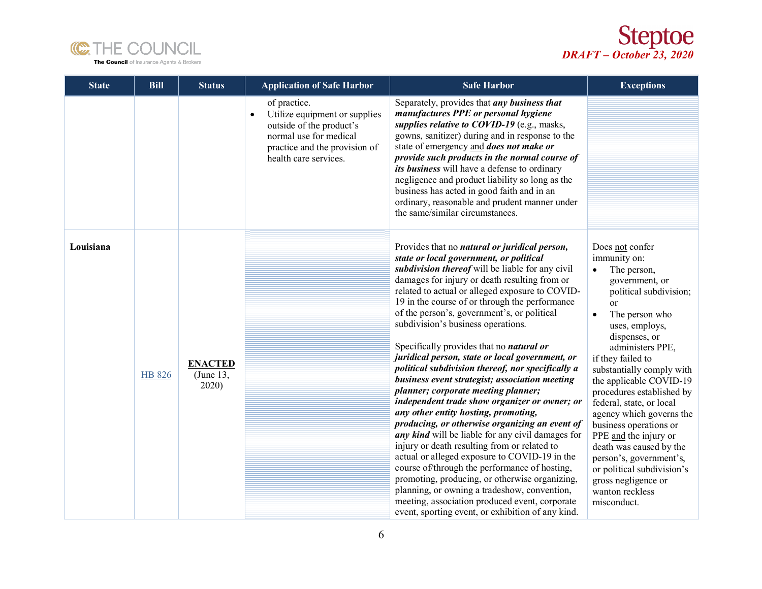



| <b>State</b> | <b>Bill</b>   | <b>Status</b>                        | <b>Application of Safe Harbor</b>                                                                                                                             | <b>Safe Harbor</b>                                                                                                                                                                                                                                                                                                                                                                                                                                                                                                                                                                                                                                                                                                                                                                                                                                                                                                                                                                                                                                                                                                                                                                              | <b>Exceptions</b>                                                                                                                                                                                                                                                                                                                                                                                                                                                                                                                                                            |
|--------------|---------------|--------------------------------------|---------------------------------------------------------------------------------------------------------------------------------------------------------------|-------------------------------------------------------------------------------------------------------------------------------------------------------------------------------------------------------------------------------------------------------------------------------------------------------------------------------------------------------------------------------------------------------------------------------------------------------------------------------------------------------------------------------------------------------------------------------------------------------------------------------------------------------------------------------------------------------------------------------------------------------------------------------------------------------------------------------------------------------------------------------------------------------------------------------------------------------------------------------------------------------------------------------------------------------------------------------------------------------------------------------------------------------------------------------------------------|------------------------------------------------------------------------------------------------------------------------------------------------------------------------------------------------------------------------------------------------------------------------------------------------------------------------------------------------------------------------------------------------------------------------------------------------------------------------------------------------------------------------------------------------------------------------------|
|              |               |                                      | of practice.<br>Utilize equipment or supplies<br>outside of the product's<br>normal use for medical<br>practice and the provision of<br>health care services. | Separately, provides that <i>any business that</i><br>manufactures PPE or personal hygiene<br>supplies relative to $COVID-19$ (e.g., masks,<br>gowns, sanitizer) during and in response to the<br>state of emergency and does not make or<br>provide such products in the normal course of<br>its business will have a defense to ordinary<br>negligence and product liability so long as the<br>business has acted in good faith and in an<br>ordinary, reasonable and prudent manner under<br>the same/similar circumstances.                                                                                                                                                                                                                                                                                                                                                                                                                                                                                                                                                                                                                                                                 |                                                                                                                                                                                                                                                                                                                                                                                                                                                                                                                                                                              |
| Louisiana    | <b>HB 826</b> | <b>ENACTED</b><br>(June 13,<br>2020) |                                                                                                                                                               | Provides that no natural or juridical person,<br>state or local government, or political<br>subdivision thereof will be liable for any civil<br>damages for injury or death resulting from or<br>related to actual or alleged exposure to COVID-<br>19 in the course of or through the performance<br>of the person's, government's, or political<br>subdivision's business operations.<br>Specifically provides that no natural or<br>juridical person, state or local government, or<br>political subdivision thereof, nor specifically a<br>business event strategist; association meeting<br>planner; corporate meeting planner;<br>independent trade show organizer or owner; or<br>any other entity hosting, promoting,<br>producing, or otherwise organizing an event of<br>any kind will be liable for any civil damages for<br>injury or death resulting from or related to<br>actual or alleged exposure to COVID-19 in the<br>course of/through the performance of hosting,<br>promoting, producing, or otherwise organizing,<br>planning, or owning a tradeshow, convention,<br>meeting, association produced event, corporate<br>event, sporting event, or exhibition of any kind. | Does not confer<br>immunity on:<br>The person,<br>$\bullet$<br>government, or<br>political subdivision;<br><b>or</b><br>The person who<br>$\bullet$<br>uses, employs,<br>dispenses, or<br>administers PPE,<br>if they failed to<br>substantially comply with<br>the applicable COVID-19<br>procedures established by<br>federal, state, or local<br>agency which governs the<br>business operations or<br>PPE and the injury or<br>death was caused by the<br>person's, government's,<br>or political subdivision's<br>gross negligence or<br>wanton reckless<br>misconduct. |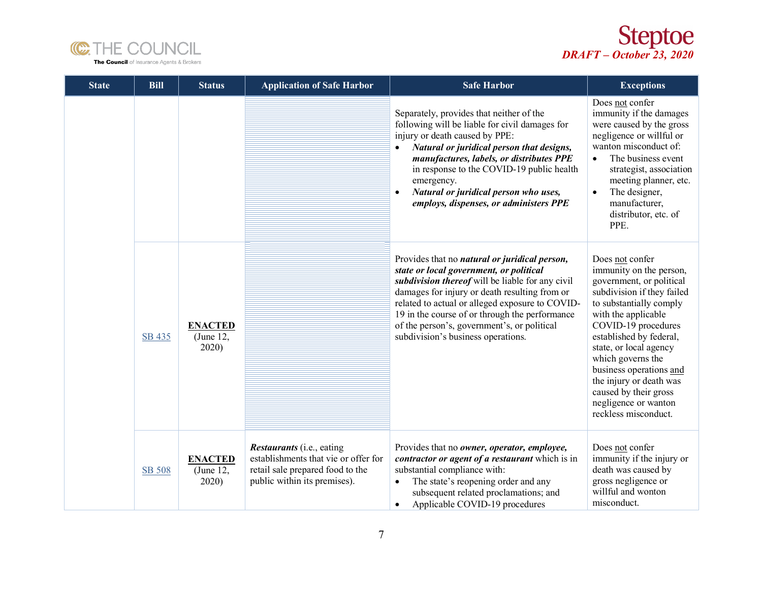



| <b>State</b> | <b>Bill</b>   | <b>Status</b>                        | <b>Application of Safe Harbor</b>                                                                                                            | <b>Safe Harbor</b>                                                                                                                                                                                                                                                                                                                                                                      | <b>Exceptions</b>                                                                                                                                                                                                                                                                                                                                                                      |
|--------------|---------------|--------------------------------------|----------------------------------------------------------------------------------------------------------------------------------------------|-----------------------------------------------------------------------------------------------------------------------------------------------------------------------------------------------------------------------------------------------------------------------------------------------------------------------------------------------------------------------------------------|----------------------------------------------------------------------------------------------------------------------------------------------------------------------------------------------------------------------------------------------------------------------------------------------------------------------------------------------------------------------------------------|
|              |               |                                      |                                                                                                                                              | Separately, provides that neither of the<br>following will be liable for civil damages for<br>injury or death caused by PPE:<br>Natural or juridical person that designs,<br>$\bullet$<br>manufactures, labels, or distributes PPE<br>in response to the COVID-19 public health<br>emergency.<br>Natural or juridical person who uses,<br>employs, dispenses, or administers PPE        | Does not confer<br>immunity if the damages<br>were caused by the gross<br>negligence or willful or<br>wanton misconduct of:<br>The business event<br>$\bullet$<br>strategist, association<br>meeting planner, etc.<br>The designer,<br>$\bullet$<br>manufacturer,<br>distributor, etc. of<br>PPE.                                                                                      |
|              | SB 435        | <b>ENACTED</b><br>(June 12,<br>2020) |                                                                                                                                              | Provides that no natural or juridical person,<br>state or local government, or political<br>subdivision thereof will be liable for any civil<br>damages for injury or death resulting from or<br>related to actual or alleged exposure to COVID-<br>19 in the course of or through the performance<br>of the person's, government's, or political<br>subdivision's business operations. | Does not confer<br>immunity on the person,<br>government, or political<br>subdivision if they failed<br>to substantially comply<br>with the applicable<br>COVID-19 procedures<br>established by federal,<br>state, or local agency<br>which governs the<br>business operations and<br>the injury or death was<br>caused by their gross<br>negligence or wanton<br>reckless misconduct. |
|              | <b>SB 508</b> | <b>ENACTED</b><br>(June 12,<br>2020  | <i>Restaurants</i> (i.e., eating<br>establishments that vie or offer for<br>retail sale prepared food to the<br>public within its premises). | Provides that no owner, operator, employee,<br>contractor or agent of a restaurant which is in<br>substantial compliance with:<br>The state's reopening order and any<br>subsequent related proclamations; and<br>Applicable COVID-19 procedures<br>$\bullet$                                                                                                                           | Does not confer<br>immunity if the injury or<br>death was caused by<br>gross negligence or<br>willful and wonton<br>misconduct.                                                                                                                                                                                                                                                        |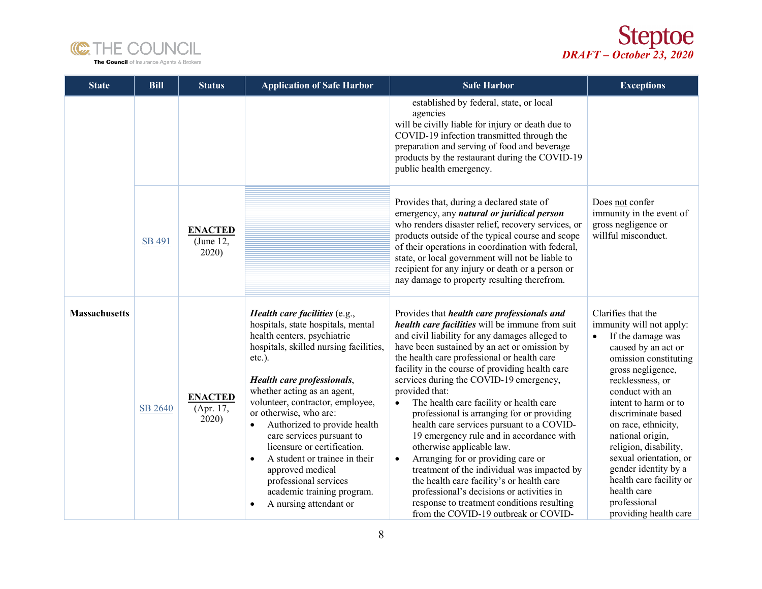



| <b>State</b>         | <b>Bill</b> | <b>Status</b>                        | <b>Application of Safe Harbor</b>                                                                                                                                                                                                                                                                                                                                                                                                                                                                                                                             | <b>Safe Harbor</b>                                                                                                                                                                                                                                                                                                                                                                                                                                                                                                                                                                                                                                                                                                                                                                                                                                                                   | <b>Exceptions</b>                                                                                                                                                                                                                                                                                                                                                                                                                      |
|----------------------|-------------|--------------------------------------|---------------------------------------------------------------------------------------------------------------------------------------------------------------------------------------------------------------------------------------------------------------------------------------------------------------------------------------------------------------------------------------------------------------------------------------------------------------------------------------------------------------------------------------------------------------|--------------------------------------------------------------------------------------------------------------------------------------------------------------------------------------------------------------------------------------------------------------------------------------------------------------------------------------------------------------------------------------------------------------------------------------------------------------------------------------------------------------------------------------------------------------------------------------------------------------------------------------------------------------------------------------------------------------------------------------------------------------------------------------------------------------------------------------------------------------------------------------|----------------------------------------------------------------------------------------------------------------------------------------------------------------------------------------------------------------------------------------------------------------------------------------------------------------------------------------------------------------------------------------------------------------------------------------|
|                      |             |                                      |                                                                                                                                                                                                                                                                                                                                                                                                                                                                                                                                                               | established by federal, state, or local<br>agencies<br>will be civilly liable for injury or death due to<br>COVID-19 infection transmitted through the<br>preparation and serving of food and beverage<br>products by the restaurant during the COVID-19<br>public health emergency.                                                                                                                                                                                                                                                                                                                                                                                                                                                                                                                                                                                                 |                                                                                                                                                                                                                                                                                                                                                                                                                                        |
|                      | SB 491      | <b>ENACTED</b><br>(June 12,<br>2020) |                                                                                                                                                                                                                                                                                                                                                                                                                                                                                                                                                               | Provides that, during a declared state of<br>emergency, any natural or juridical person<br>who renders disaster relief, recovery services, or<br>products outside of the typical course and scope<br>of their operations in coordination with federal,<br>state, or local government will not be liable to<br>recipient for any injury or death or a person or<br>nay damage to property resulting therefrom.                                                                                                                                                                                                                                                                                                                                                                                                                                                                        | Does not confer<br>immunity in the event of<br>gross negligence or<br>willful misconduct.                                                                                                                                                                                                                                                                                                                                              |
| <b>Massachusetts</b> | SB 2640     | <b>ENACTED</b><br>(Apr. 17,<br>2020  | Health care facilities (e.g.,<br>hospitals, state hospitals, mental<br>health centers, psychiatric<br>hospitals, skilled nursing facilities,<br>$etc.$ ).<br>Health care professionals,<br>whether acting as an agent,<br>volunteer, contractor, employee,<br>or otherwise, who are:<br>Authorized to provide health<br>$\bullet$<br>care services pursuant to<br>licensure or certification.<br>A student or trainee in their<br>$\bullet$<br>approved medical<br>professional services<br>academic training program.<br>A nursing attendant or<br>$\bullet$ | Provides that <i>health care professionals and</i><br>health care facilities will be immune from suit<br>and civil liability for any damages alleged to<br>have been sustained by an act or omission by<br>the health care professional or health care<br>facility in the course of providing health care<br>services during the COVID-19 emergency,<br>provided that:<br>The health care facility or health care<br>$\bullet$<br>professional is arranging for or providing<br>health care services pursuant to a COVID-<br>19 emergency rule and in accordance with<br>otherwise applicable law.<br>Arranging for or providing care or<br>$\bullet$<br>treatment of the individual was impacted by<br>the health care facility's or health care<br>professional's decisions or activities in<br>response to treatment conditions resulting<br>from the COVID-19 outbreak or COVID- | Clarifies that the<br>immunity will not apply:<br>If the damage was<br>caused by an act or<br>omission constituting<br>gross negligence,<br>recklessness, or<br>conduct with an<br>intent to harm or to<br>discriminate based<br>on race, ethnicity,<br>national origin,<br>religion, disability,<br>sexual orientation, or<br>gender identity by a<br>health care facility or<br>health care<br>professional<br>providing health care |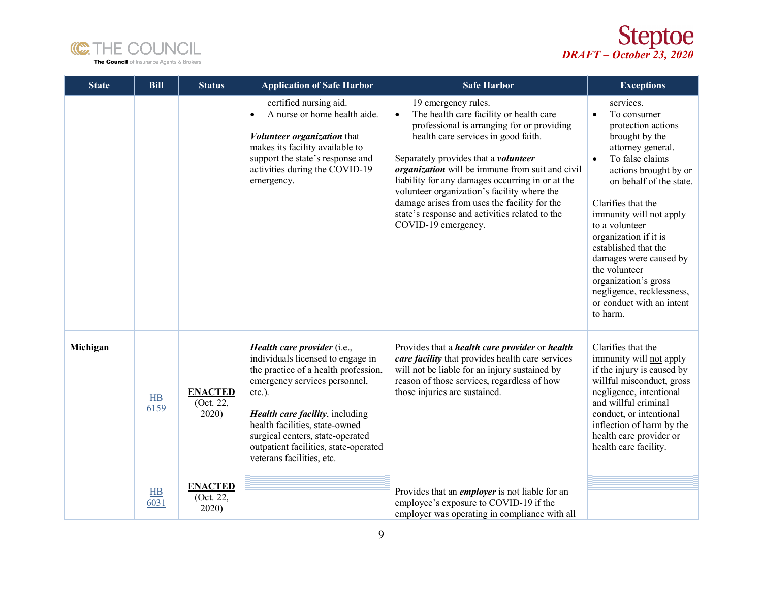



| <b>State</b> | <b>Bill</b> | <b>Status</b>                        | <b>Application of Safe Harbor</b>                                                                                                                                                                                                                                                                                                  | <b>Safe Harbor</b>                                                                                                                                                                                                                                                                                                                                                                                                                                                                             | <b>Exceptions</b>                                                                                                                                                                                                                                                                                                                                                                                                                                   |
|--------------|-------------|--------------------------------------|------------------------------------------------------------------------------------------------------------------------------------------------------------------------------------------------------------------------------------------------------------------------------------------------------------------------------------|------------------------------------------------------------------------------------------------------------------------------------------------------------------------------------------------------------------------------------------------------------------------------------------------------------------------------------------------------------------------------------------------------------------------------------------------------------------------------------------------|-----------------------------------------------------------------------------------------------------------------------------------------------------------------------------------------------------------------------------------------------------------------------------------------------------------------------------------------------------------------------------------------------------------------------------------------------------|
|              |             |                                      | certified nursing aid.<br>A nurse or home health aide.<br>$\bullet$<br>Volunteer organization that<br>makes its facility available to<br>support the state's response and<br>activities during the COVID-19<br>emergency.                                                                                                          | 19 emergency rules.<br>The health care facility or health care<br>$\bullet$<br>professional is arranging for or providing<br>health care services in good faith.<br>Separately provides that a <i>volunteer</i><br>organization will be immune from suit and civil<br>liability for any damages occurring in or at the<br>volunteer organization's facility where the<br>damage arises from uses the facility for the<br>state's response and activities related to the<br>COVID-19 emergency. | services.<br>To consumer<br>$\bullet$<br>protection actions<br>brought by the<br>attorney general.<br>To false claims<br>$\bullet$<br>actions brought by or<br>on behalf of the state.<br>Clarifies that the<br>immunity will not apply<br>to a volunteer<br>organization if it is<br>established that the<br>damages were caused by<br>the volunteer<br>organization's gross<br>negligence, recklessness,<br>or conduct with an intent<br>to harm. |
| Michigan     | H B<br>6159 | <b>ENACTED</b><br>(Oct. 22,<br>2020) | Health care provider (i.e.,<br>individuals licensed to engage in<br>the practice of a health profession,<br>emergency services personnel,<br>etc.).<br>Health care facility, including<br>health facilities, state-owned<br>surgical centers, state-operated<br>outpatient facilities, state-operated<br>veterans facilities, etc. | Provides that a <i>health care provider</i> or <i>health</i><br>care facility that provides health care services<br>will not be liable for an injury sustained by<br>reason of those services, regardless of how<br>those injuries are sustained.                                                                                                                                                                                                                                              | Clarifies that the<br>immunity will not apply<br>if the injury is caused by<br>willful misconduct, gross<br>negligence, intentional<br>and willful criminal<br>conduct, or intentional<br>inflection of harm by the<br>health care provider or<br>health care facility.                                                                                                                                                                             |
|              | HB<br>6031  | <b>ENACTED</b><br>(Oct. 22,<br>2020) |                                                                                                                                                                                                                                                                                                                                    | Provides that an <i>employer</i> is not liable for an<br>employee's exposure to COVID-19 if the<br>employer was operating in compliance with all                                                                                                                                                                                                                                                                                                                                               |                                                                                                                                                                                                                                                                                                                                                                                                                                                     |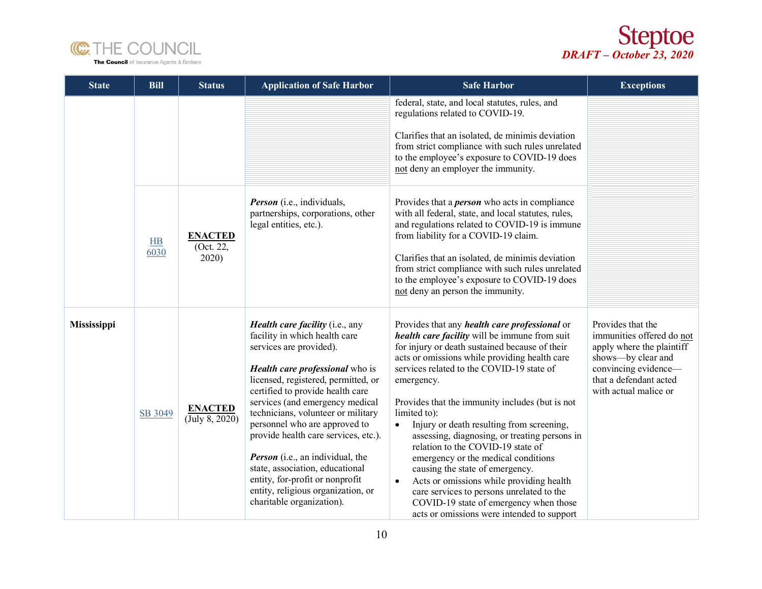



| <b>State</b> | <b>Bill</b>            | <b>Status</b>                        | <b>Application of Safe Harbor</b>                                                                                                                                                                                                                                                                                                                                                                                                                                                                                                                      | <b>Safe Harbor</b>                                                                                                                                                                                                                                                                                                                                                                                                                                                                                                                                                                                                                                                                                                                                             | <b>Exceptions</b>                                                                                                                                                              |
|--------------|------------------------|--------------------------------------|--------------------------------------------------------------------------------------------------------------------------------------------------------------------------------------------------------------------------------------------------------------------------------------------------------------------------------------------------------------------------------------------------------------------------------------------------------------------------------------------------------------------------------------------------------|----------------------------------------------------------------------------------------------------------------------------------------------------------------------------------------------------------------------------------------------------------------------------------------------------------------------------------------------------------------------------------------------------------------------------------------------------------------------------------------------------------------------------------------------------------------------------------------------------------------------------------------------------------------------------------------------------------------------------------------------------------------|--------------------------------------------------------------------------------------------------------------------------------------------------------------------------------|
|              |                        |                                      |                                                                                                                                                                                                                                                                                                                                                                                                                                                                                                                                                        | federal, state, and local statutes, rules, and<br>regulations related to COVID-19.<br>Clarifies that an isolated, de minimis deviation<br>from strict compliance with such rules unrelated<br>to the employee's exposure to COVID-19 does<br>not deny an employer the immunity.                                                                                                                                                                                                                                                                                                                                                                                                                                                                                |                                                                                                                                                                                |
|              | H <sub>B</sub><br>6030 | <b>ENACTED</b><br>(Oct. 22,<br>2020) | <b>Person</b> (i.e., individuals,<br>partnerships, corporations, other<br>legal entities, etc.).                                                                                                                                                                                                                                                                                                                                                                                                                                                       | Provides that a <i>person</i> who acts in compliance<br>with all federal, state, and local statutes, rules,<br>and regulations related to COVID-19 is immune<br>from liability for a COVID-19 claim.<br>Clarifies that an isolated, de minimis deviation<br>from strict compliance with such rules unrelated<br>to the employee's exposure to COVID-19 does<br>not deny an person the immunity.                                                                                                                                                                                                                                                                                                                                                                |                                                                                                                                                                                |
| Mississippi  | SB 3049                | <b>ENACTED</b><br>(July 8, 2020)     | <b>Health care facility</b> (i.e., any<br>facility in which health care<br>services are provided).<br>Health care professional who is<br>licensed, registered, permitted, or<br>certified to provide health care<br>services (and emergency medical<br>technicians, volunteer or military<br>personnel who are approved to<br>provide health care services, etc.).<br><b>Person</b> (i.e., an individual, the<br>state, association, educational<br>entity, for-profit or nonprofit<br>entity, religious organization, or<br>charitable organization). | Provides that any <i>health care professional</i> or<br>health care facility will be immune from suit<br>for injury or death sustained because of their<br>acts or omissions while providing health care<br>services related to the COVID-19 state of<br>emergency.<br>Provides that the immunity includes (but is not<br>limited to):<br>Injury or death resulting from screening,<br>$\bullet$<br>assessing, diagnosing, or treating persons in<br>relation to the COVID-19 state of<br>emergency or the medical conditions<br>causing the state of emergency.<br>Acts or omissions while providing health<br>$\bullet$<br>care services to persons unrelated to the<br>COVID-19 state of emergency when those<br>acts or omissions were intended to support | Provides that the<br>immunities offered do not<br>apply where the plaintiff<br>shows---by clear and<br>convincing evidence-<br>that a defendant acted<br>with actual malice or |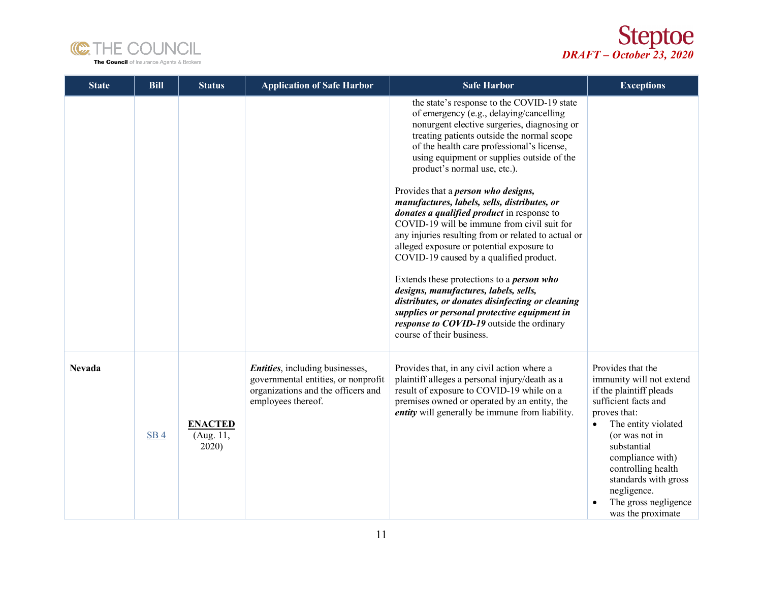



| <b>State</b>  | <b>Bill</b>     | <b>Status</b>                        | <b>Application of Safe Harbor</b>                                                                                                          | <b>Safe Harbor</b>                                                                                                                                                                                                                                                                                                                                                                                                                                                                                                                                                                                                                                                                                                                                                                                                                                                                                                                   | <b>Exceptions</b>                                                                                                                                                                                                                                                                                                   |
|---------------|-----------------|--------------------------------------|--------------------------------------------------------------------------------------------------------------------------------------------|--------------------------------------------------------------------------------------------------------------------------------------------------------------------------------------------------------------------------------------------------------------------------------------------------------------------------------------------------------------------------------------------------------------------------------------------------------------------------------------------------------------------------------------------------------------------------------------------------------------------------------------------------------------------------------------------------------------------------------------------------------------------------------------------------------------------------------------------------------------------------------------------------------------------------------------|---------------------------------------------------------------------------------------------------------------------------------------------------------------------------------------------------------------------------------------------------------------------------------------------------------------------|
|               |                 |                                      |                                                                                                                                            | the state's response to the COVID-19 state<br>of emergency (e.g., delaying/cancelling<br>nonurgent elective surgeries, diagnosing or<br>treating patients outside the normal scope<br>of the health care professional's license,<br>using equipment or supplies outside of the<br>product's normal use, etc.).<br>Provides that a <i>person who designs</i> ,<br>manufactures, labels, sells, distributes, or<br>donates a qualified product in response to<br>COVID-19 will be immune from civil suit for<br>any injuries resulting from or related to actual or<br>alleged exposure or potential exposure to<br>COVID-19 caused by a qualified product.<br>Extends these protections to a <i>person who</i><br>designs, manufactures, labels, sells,<br>distributes, or donates disinfecting or cleaning<br>supplies or personal protective equipment in<br>response to COVID-19 outside the ordinary<br>course of their business. |                                                                                                                                                                                                                                                                                                                     |
| <b>Nevada</b> | SB <sub>4</sub> | <b>ENACTED</b><br>(Aug. 11,<br>2020) | <i>Entities</i> , including businesses,<br>governmental entities, or nonprofit<br>organizations and the officers and<br>employees thereof. | Provides that, in any civil action where a<br>plaintiff alleges a personal injury/death as a<br>result of exposure to COVID-19 while on a<br>premises owned or operated by an entity, the<br><i>entity</i> will generally be immune from liability.                                                                                                                                                                                                                                                                                                                                                                                                                                                                                                                                                                                                                                                                                  | Provides that the<br>immunity will not extend<br>if the plaintiff pleads<br>sufficient facts and<br>proves that:<br>The entity violated<br>$\bullet$<br>(or was not in<br>substantial<br>compliance with)<br>controlling health<br>standards with gross<br>negligence.<br>The gross negligence<br>was the proximate |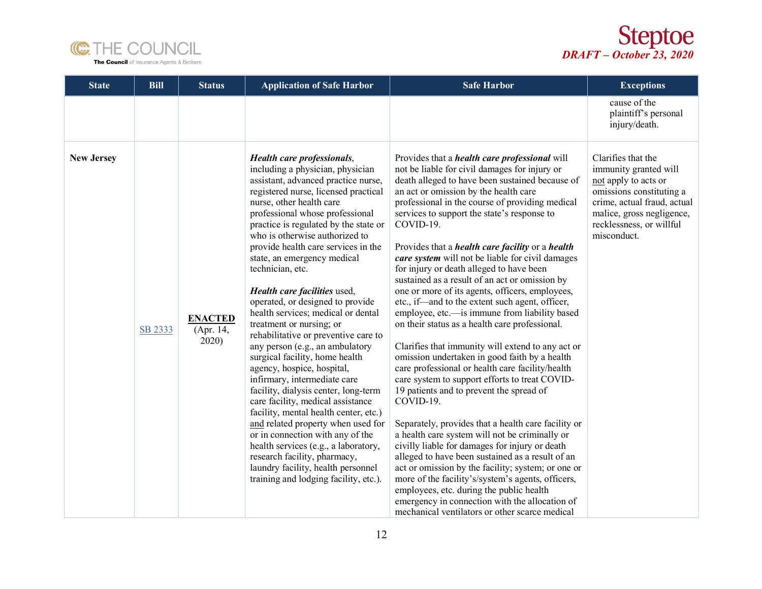



| <b>State</b>      | <b>Bill</b> | <b>Status</b>                        | <b>Application of Safe Harbor</b>                                                                                                                                                                                                                                                                                                                                                                                                                                                                                                                                                                                                                                                                                                                                                                                                                                                                                                                                                                                                                         | <b>Safe Harbor</b>                                                                                                                                                                                                                                                                                                                                                                                                                                                                                                                                                                                                                                                                                                                                                                                                                                                                                                                                                                                                                                                                                                                                                                                                                                                                                                                                                                                                                                                                           | <b>Exceptions</b>                                                                                                                                                                                      |
|-------------------|-------------|--------------------------------------|-----------------------------------------------------------------------------------------------------------------------------------------------------------------------------------------------------------------------------------------------------------------------------------------------------------------------------------------------------------------------------------------------------------------------------------------------------------------------------------------------------------------------------------------------------------------------------------------------------------------------------------------------------------------------------------------------------------------------------------------------------------------------------------------------------------------------------------------------------------------------------------------------------------------------------------------------------------------------------------------------------------------------------------------------------------|----------------------------------------------------------------------------------------------------------------------------------------------------------------------------------------------------------------------------------------------------------------------------------------------------------------------------------------------------------------------------------------------------------------------------------------------------------------------------------------------------------------------------------------------------------------------------------------------------------------------------------------------------------------------------------------------------------------------------------------------------------------------------------------------------------------------------------------------------------------------------------------------------------------------------------------------------------------------------------------------------------------------------------------------------------------------------------------------------------------------------------------------------------------------------------------------------------------------------------------------------------------------------------------------------------------------------------------------------------------------------------------------------------------------------------------------------------------------------------------------|--------------------------------------------------------------------------------------------------------------------------------------------------------------------------------------------------------|
|                   |             |                                      |                                                                                                                                                                                                                                                                                                                                                                                                                                                                                                                                                                                                                                                                                                                                                                                                                                                                                                                                                                                                                                                           |                                                                                                                                                                                                                                                                                                                                                                                                                                                                                                                                                                                                                                                                                                                                                                                                                                                                                                                                                                                                                                                                                                                                                                                                                                                                                                                                                                                                                                                                                              | cause of the<br>plaintiff's personal<br>injury/death.                                                                                                                                                  |
| <b>New Jersey</b> | SB 2333     | <b>ENACTED</b><br>(Apr. 14,<br>2020) | Health care professionals,<br>including a physician, physician<br>assistant, advanced practice nurse,<br>registered nurse, licensed practical<br>nurse, other health care<br>professional whose professional<br>practice is regulated by the state or<br>who is otherwise authorized to<br>provide health care services in the<br>state, an emergency medical<br>technician, etc.<br>Health care facilities used,<br>operated, or designed to provide<br>health services; medical or dental<br>treatment or nursing; or<br>rehabilitative or preventive care to<br>any person (e.g., an ambulatory<br>surgical facility, home health<br>agency, hospice, hospital,<br>infirmary, intermediate care<br>facility, dialysis center, long-term<br>care facility, medical assistance<br>facility, mental health center, etc.)<br>and related property when used for<br>or in connection with any of the<br>health services (e.g., a laboratory,<br>research facility, pharmacy,<br>laundry facility, health personnel<br>training and lodging facility, etc.). | Provides that a <i>health care professional</i> will<br>not be liable for civil damages for injury or<br>death alleged to have been sustained because of<br>an act or omission by the health care<br>professional in the course of providing medical<br>services to support the state's response to<br>COVID-19.<br>Provides that a <i>health care facility</i> or a <i>health</i><br>care system will not be liable for civil damages<br>for injury or death alleged to have been<br>sustained as a result of an act or omission by<br>one or more of its agents, officers, employees,<br>etc., if—and to the extent such agent, officer,<br>employee, etc.—is immune from liability based<br>on their status as a health care professional.<br>Clarifies that immunity will extend to any act or<br>omission undertaken in good faith by a health<br>care professional or health care facility/health<br>care system to support efforts to treat COVID-<br>19 patients and to prevent the spread of<br>COVID-19.<br>Separately, provides that a health care facility or<br>a health care system will not be criminally or<br>civilly liable for damages for injury or death<br>alleged to have been sustained as a result of an<br>act or omission by the facility; system; or one or<br>more of the facility's/system's agents, officers,<br>employees, etc. during the public health<br>emergency in connection with the allocation of<br>mechanical ventilators or other scarce medical | Clarifies that the<br>immunity granted will<br>not apply to acts or<br>omissions constituting a<br>crime, actual fraud, actual<br>malice, gross negligence,<br>recklessness, or willful<br>misconduct. |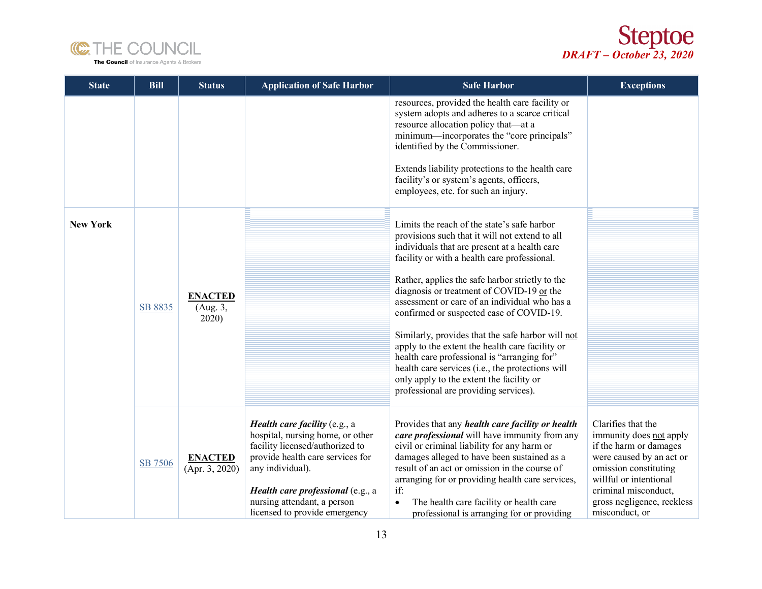



| <b>State</b>    | <b>Bill</b> | <b>Status</b>                       | <b>Application of Safe Harbor</b>                                                                                                                                                                                                                                        | <b>Safe Harbor</b>                                                                                                                                                                                                                                                                                                                                                                                                                                                                                                                                                                                                                                                                          | <b>Exceptions</b>                                                                                                                                                                                                              |
|-----------------|-------------|-------------------------------------|--------------------------------------------------------------------------------------------------------------------------------------------------------------------------------------------------------------------------------------------------------------------------|---------------------------------------------------------------------------------------------------------------------------------------------------------------------------------------------------------------------------------------------------------------------------------------------------------------------------------------------------------------------------------------------------------------------------------------------------------------------------------------------------------------------------------------------------------------------------------------------------------------------------------------------------------------------------------------------|--------------------------------------------------------------------------------------------------------------------------------------------------------------------------------------------------------------------------------|
|                 |             |                                     |                                                                                                                                                                                                                                                                          | resources, provided the health care facility or<br>system adopts and adheres to a scarce critical<br>resource allocation policy that—at a<br>minimum—incorporates the "core principals"<br>identified by the Commissioner.<br>Extends liability protections to the health care<br>facility's or system's agents, officers,<br>employees, etc. for such an injury.                                                                                                                                                                                                                                                                                                                           |                                                                                                                                                                                                                                |
| <b>New York</b> | SB 8835     | <b>ENACTED</b><br>(Aug. 3,<br>2020) |                                                                                                                                                                                                                                                                          | Limits the reach of the state's safe harbor<br>provisions such that it will not extend to all<br>individuals that are present at a health care<br>facility or with a health care professional.<br>Rather, applies the safe harbor strictly to the<br>diagnosis or treatment of COVID-19 or the<br>assessment or care of an individual who has a<br>confirmed or suspected case of COVID-19.<br>Similarly, provides that the safe harbor will not<br>apply to the extent the health care facility or<br>health care professional is "arranging for"<br>health care services (i.e., the protections will<br>only apply to the extent the facility or<br>professional are providing services). |                                                                                                                                                                                                                                |
|                 | SB 7506     | <b>ENACTED</b><br>(Apr. 3, 2020)    | <i>Health care facility</i> (e.g., a<br>hospital, nursing home, or other<br>facility licensed/authorized to<br>provide health care services for<br>any individual).<br>Health care professional (e.g., a<br>nursing attendant, a person<br>licensed to provide emergency | Provides that any <i>health care facility or health</i><br>care professional will have immunity from any<br>civil or criminal liability for any harm or<br>damages alleged to have been sustained as a<br>result of an act or omission in the course of<br>arranging for or providing health care services,<br>if:<br>The health care facility or health care<br>$\bullet$<br>professional is arranging for or providing                                                                                                                                                                                                                                                                    | Clarifies that the<br>immunity does not apply<br>if the harm or damages<br>were caused by an act or<br>omission constituting<br>willful or intentional<br>criminal misconduct,<br>gross negligence, reckless<br>misconduct, or |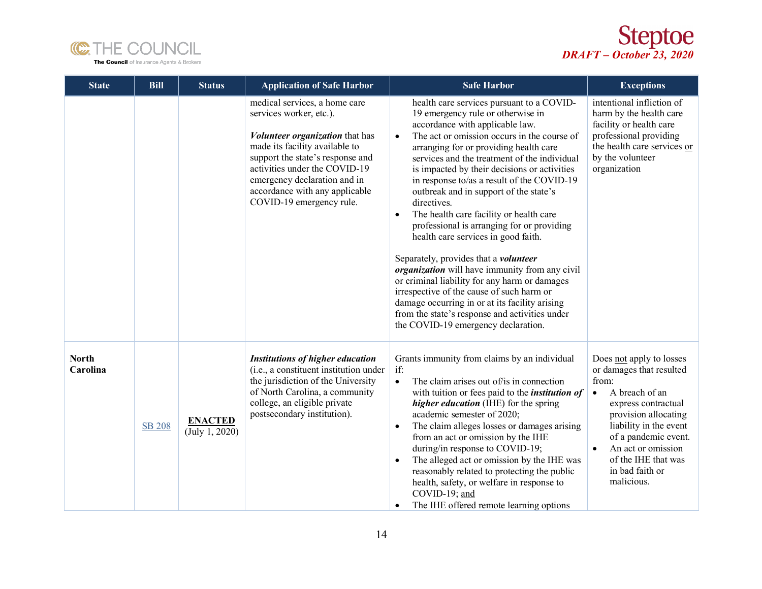



| <b>State</b>             | <b>Bill</b>   | <b>Status</b>                    | <b>Application of Safe Harbor</b>                                                                                                                                                                                                                                                                       | <b>Safe Harbor</b>                                                                                                                                                                                                                                                                                                                                                                                                                                                                                                                                                                                                                                                                                                                                                                                                                                                                                                            | <b>Exceptions</b>                                                                                                                                                                                                                                                                        |
|--------------------------|---------------|----------------------------------|---------------------------------------------------------------------------------------------------------------------------------------------------------------------------------------------------------------------------------------------------------------------------------------------------------|-------------------------------------------------------------------------------------------------------------------------------------------------------------------------------------------------------------------------------------------------------------------------------------------------------------------------------------------------------------------------------------------------------------------------------------------------------------------------------------------------------------------------------------------------------------------------------------------------------------------------------------------------------------------------------------------------------------------------------------------------------------------------------------------------------------------------------------------------------------------------------------------------------------------------------|------------------------------------------------------------------------------------------------------------------------------------------------------------------------------------------------------------------------------------------------------------------------------------------|
|                          |               |                                  | medical services, a home care<br>services worker, etc.).<br><i>Volunteer organization</i> that has<br>made its facility available to<br>support the state's response and<br>activities under the COVID-19<br>emergency declaration and in<br>accordance with any applicable<br>COVID-19 emergency rule. | health care services pursuant to a COVID-<br>19 emergency rule or otherwise in<br>accordance with applicable law.<br>The act or omission occurs in the course of<br>$\bullet$<br>arranging for or providing health care<br>services and the treatment of the individual<br>is impacted by their decisions or activities<br>in response to/as a result of the COVID-19<br>outbreak and in support of the state's<br>directives.<br>The health care facility or health care<br>$\bullet$<br>professional is arranging for or providing<br>health care services in good faith.<br>Separately, provides that a <i>volunteer</i><br><i>organization</i> will have immunity from any civil<br>or criminal liability for any harm or damages<br>irrespective of the cause of such harm or<br>damage occurring in or at its facility arising<br>from the state's response and activities under<br>the COVID-19 emergency declaration. | intentional infliction of<br>harm by the health care<br>facility or health care<br>professional providing<br>the health care services or<br>by the volunteer<br>organization                                                                                                             |
| <b>North</b><br>Carolina | <b>SB 208</b> | <b>ENACTED</b><br>(July 1, 2020) | <b>Institutions of higher education</b><br>(i.e., a constituent institution under<br>the jurisdiction of the University<br>of North Carolina, a community<br>college, an eligible private<br>postsecondary institution).                                                                                | Grants immunity from claims by an individual<br>if:<br>The claim arises out of/is in connection<br>$\bullet$<br>with tuition or fees paid to the <i>institution of</i><br><i>higher education</i> (IHE) for the spring<br>academic semester of 2020;<br>The claim alleges losses or damages arising<br>$\bullet$<br>from an act or omission by the IHE<br>during/in response to COVID-19;<br>The alleged act or omission by the IHE was<br>reasonably related to protecting the public<br>health, safety, or welfare in response to<br>COVID-19; and<br>The IHE offered remote learning options<br>$\bullet$                                                                                                                                                                                                                                                                                                                  | Does not apply to losses<br>or damages that resulted<br>from:<br>A breach of an<br>$\bullet$<br>express contractual<br>provision allocating<br>liability in the event<br>of a pandemic event.<br>An act or omission<br>$\bullet$<br>of the IHE that was<br>in bad faith or<br>malicious. |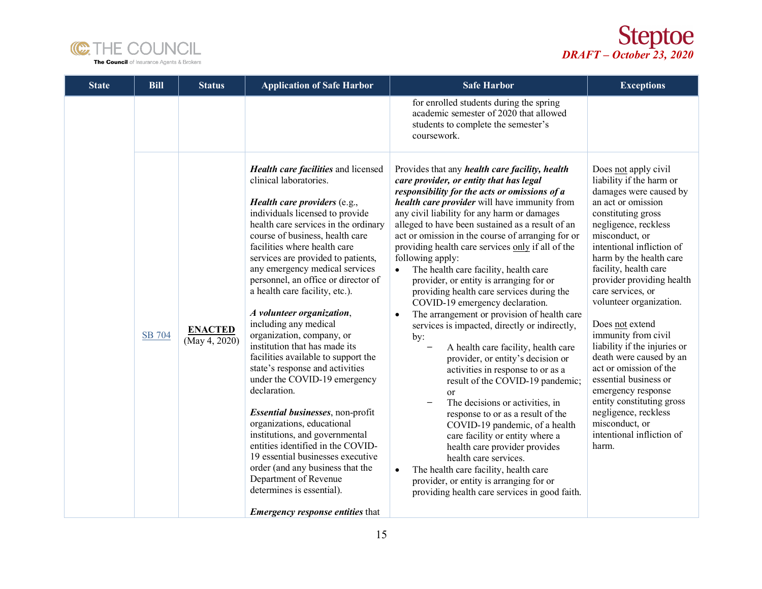



| <b>State</b> | <b>Bill</b> | <b>Status</b>                   | <b>Application of Safe Harbor</b>                                                                                                                                                                                                                                                                                                                                                                                                                                                                                                                                                                                                                                                                                                                                                                                                                                                                                                                                      | <b>Safe Harbor</b>                                                                                                                                                                                                                                                                                                                                                                                                                                                                                                                                                                                                                                                                                                                                                                                                                                                                                                                                                                                                                                                                                                                                                                                                                                                | <b>Exceptions</b>                                                                                                                                                                                                                                                                                                                                                                                                                                                                                                                                                                                                         |
|--------------|-------------|---------------------------------|------------------------------------------------------------------------------------------------------------------------------------------------------------------------------------------------------------------------------------------------------------------------------------------------------------------------------------------------------------------------------------------------------------------------------------------------------------------------------------------------------------------------------------------------------------------------------------------------------------------------------------------------------------------------------------------------------------------------------------------------------------------------------------------------------------------------------------------------------------------------------------------------------------------------------------------------------------------------|-------------------------------------------------------------------------------------------------------------------------------------------------------------------------------------------------------------------------------------------------------------------------------------------------------------------------------------------------------------------------------------------------------------------------------------------------------------------------------------------------------------------------------------------------------------------------------------------------------------------------------------------------------------------------------------------------------------------------------------------------------------------------------------------------------------------------------------------------------------------------------------------------------------------------------------------------------------------------------------------------------------------------------------------------------------------------------------------------------------------------------------------------------------------------------------------------------------------------------------------------------------------|---------------------------------------------------------------------------------------------------------------------------------------------------------------------------------------------------------------------------------------------------------------------------------------------------------------------------------------------------------------------------------------------------------------------------------------------------------------------------------------------------------------------------------------------------------------------------------------------------------------------------|
|              |             |                                 |                                                                                                                                                                                                                                                                                                                                                                                                                                                                                                                                                                                                                                                                                                                                                                                                                                                                                                                                                                        | for enrolled students during the spring<br>academic semester of 2020 that allowed<br>students to complete the semester's<br>coursework.                                                                                                                                                                                                                                                                                                                                                                                                                                                                                                                                                                                                                                                                                                                                                                                                                                                                                                                                                                                                                                                                                                                           |                                                                                                                                                                                                                                                                                                                                                                                                                                                                                                                                                                                                                           |
|              | SB 704      | <b>ENACTED</b><br>(May 4, 2020) | Health care facilities and licensed<br>clinical laboratories.<br><i>Health care providers</i> $(e.g.,$<br>individuals licensed to provide<br>health care services in the ordinary<br>course of business, health care<br>facilities where health care<br>services are provided to patients,<br>any emergency medical services<br>personnel, an office or director of<br>a health care facility, etc.).<br>A volunteer organization,<br>including any medical<br>organization, company, or<br>institution that has made its<br>facilities available to support the<br>state's response and activities<br>under the COVID-19 emergency<br>declaration.<br>Essential businesses, non-profit<br>organizations, educational<br>institutions, and governmental<br>entities identified in the COVID-<br>19 essential businesses executive<br>order (and any business that the<br>Department of Revenue<br>determines is essential).<br><b>Emergency response entities that</b> | Provides that any <i>health care facility</i> , <i>health</i><br>care provider, or entity that has legal<br>responsibility for the acts or omissions of a<br>health care provider will have immunity from<br>any civil liability for any harm or damages<br>alleged to have been sustained as a result of an<br>act or omission in the course of arranging for or<br>providing health care services only if all of the<br>following apply:<br>The health care facility, health care<br>$\bullet$<br>provider, or entity is arranging for or<br>providing health care services during the<br>COVID-19 emergency declaration.<br>The arrangement or provision of health care<br>$\bullet$<br>services is impacted, directly or indirectly,<br>by:<br>A health care facility, health care<br>provider, or entity's decision or<br>activities in response to or as a<br>result of the COVID-19 pandemic;<br><sub>or</sub><br>The decisions or activities, in<br>response to or as a result of the<br>COVID-19 pandemic, of a health<br>care facility or entity where a<br>health care provider provides<br>health care services.<br>The health care facility, health care<br>provider, or entity is arranging for or<br>providing health care services in good faith. | Does not apply civil<br>liability if the harm or<br>damages were caused by<br>an act or omission<br>constituting gross<br>negligence, reckless<br>misconduct, or<br>intentional infliction of<br>harm by the health care<br>facility, health care<br>provider providing health<br>care services, or<br>volunteer organization.<br>Does not extend<br>immunity from civil<br>liability if the injuries or<br>death were caused by an<br>act or omission of the<br>essential business or<br>emergency response<br>entity constituting gross<br>negligence, reckless<br>misconduct, or<br>intentional infliction of<br>harm. |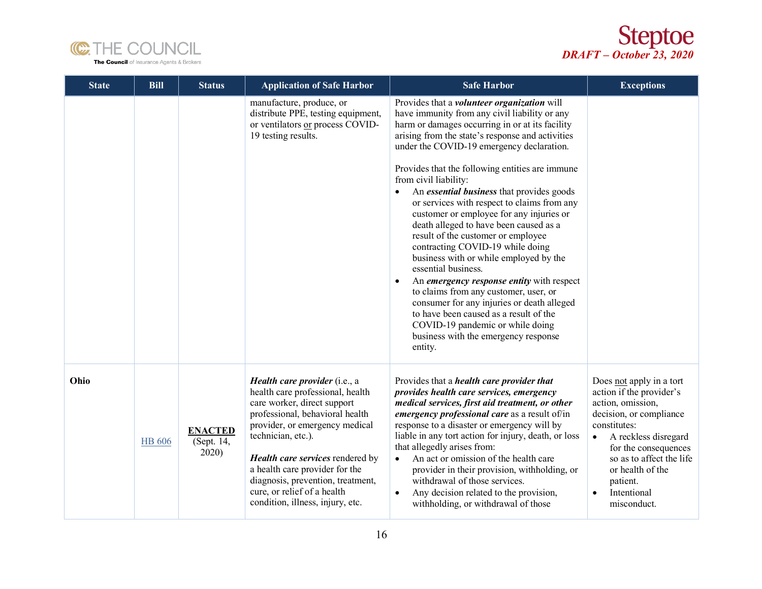



| <b>State</b> | <b>Bill</b>   | <b>Status</b>                         | <b>Application of Safe Harbor</b>                                                                                                                                                                                                                                                                                                                                         | <b>Safe Harbor</b>                                                                                                                                                                                                                                                                                                                                                                                                                                                                                                                                                                                                                                                                                                                                                                                                                                                                                                                                        | <b>Exceptions</b>                                                                                                                                                                                                                                                                        |
|--------------|---------------|---------------------------------------|---------------------------------------------------------------------------------------------------------------------------------------------------------------------------------------------------------------------------------------------------------------------------------------------------------------------------------------------------------------------------|-----------------------------------------------------------------------------------------------------------------------------------------------------------------------------------------------------------------------------------------------------------------------------------------------------------------------------------------------------------------------------------------------------------------------------------------------------------------------------------------------------------------------------------------------------------------------------------------------------------------------------------------------------------------------------------------------------------------------------------------------------------------------------------------------------------------------------------------------------------------------------------------------------------------------------------------------------------|------------------------------------------------------------------------------------------------------------------------------------------------------------------------------------------------------------------------------------------------------------------------------------------|
|              |               |                                       | manufacture, produce, or<br>distribute PPE, testing equipment,<br>or ventilators or process COVID-<br>19 testing results.                                                                                                                                                                                                                                                 | Provides that a <i>volunteer</i> organization will<br>have immunity from any civil liability or any<br>harm or damages occurring in or at its facility<br>arising from the state's response and activities<br>under the COVID-19 emergency declaration.<br>Provides that the following entities are immune<br>from civil liability:<br>An <i>essential business</i> that provides goods<br>or services with respect to claims from any<br>customer or employee for any injuries or<br>death alleged to have been caused as a<br>result of the customer or employee<br>contracting COVID-19 while doing<br>business with or while employed by the<br>essential business.<br>An emergency response entity with respect<br>$\bullet$<br>to claims from any customer, user, or<br>consumer for any injuries or death alleged<br>to have been caused as a result of the<br>COVID-19 pandemic or while doing<br>business with the emergency response<br>entity. |                                                                                                                                                                                                                                                                                          |
| Ohio         | <b>HB</b> 606 | <b>ENACTED</b><br>(Sept. 14,<br>2020) | Health care provider (i.e., a<br>health care professional, health<br>care worker, direct support<br>professional, behavioral health<br>provider, or emergency medical<br>technician, etc.).<br>Health care services rendered by<br>a health care provider for the<br>diagnosis, prevention, treatment,<br>cure, or relief of a health<br>condition, illness, injury, etc. | Provides that a <i>health care provider that</i><br>provides health care services, emergency<br>medical services, first aid treatment, or other<br><i>emergency professional care</i> as a result of/in<br>response to a disaster or emergency will by<br>liable in any tort action for injury, death, or loss<br>that allegedly arises from:<br>An act or omission of the health care<br>provider in their provision, withholding, or<br>withdrawal of those services.<br>Any decision related to the provision,<br>withholding, or withdrawal of those                                                                                                                                                                                                                                                                                                                                                                                                  | Does not apply in a tort<br>action if the provider's<br>action, omission,<br>decision, or compliance<br>constitutes:<br>A reckless disregard<br>$\bullet$<br>for the consequences<br>so as to affect the life<br>or health of the<br>patient.<br>Intentional<br>$\bullet$<br>misconduct. |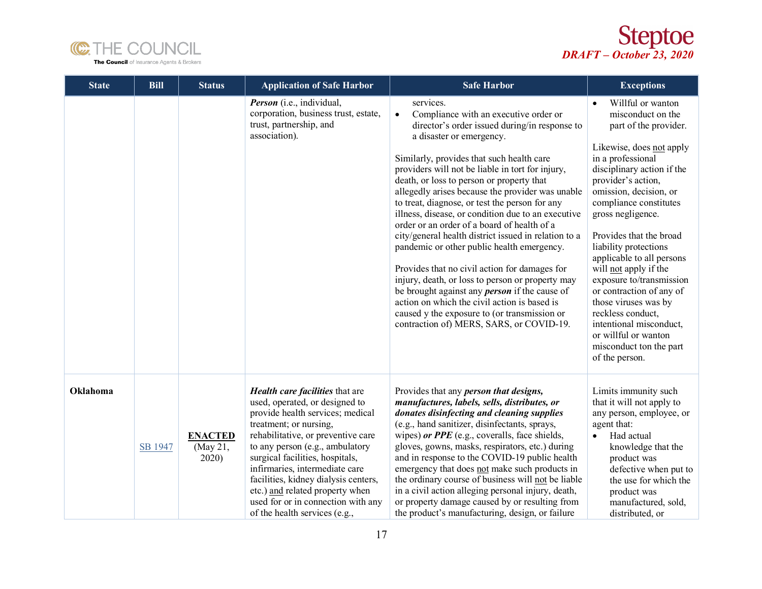



| <b>State</b> | <b>Bill</b> | <b>Status</b>                       | <b>Application of Safe Harbor</b>                                                                                                                                                                                                                                                                                                                                                                                               | <b>Safe Harbor</b>                                                                                                                                                                                                                                                                                                                                                                                                                                                                                                                                                                                                                                                                                                                                                                                                                                                                                                   | <b>Exceptions</b>                                                                                                                                                                                                                                                                                                                                                                                                                                                                                                                                            |
|--------------|-------------|-------------------------------------|---------------------------------------------------------------------------------------------------------------------------------------------------------------------------------------------------------------------------------------------------------------------------------------------------------------------------------------------------------------------------------------------------------------------------------|----------------------------------------------------------------------------------------------------------------------------------------------------------------------------------------------------------------------------------------------------------------------------------------------------------------------------------------------------------------------------------------------------------------------------------------------------------------------------------------------------------------------------------------------------------------------------------------------------------------------------------------------------------------------------------------------------------------------------------------------------------------------------------------------------------------------------------------------------------------------------------------------------------------------|--------------------------------------------------------------------------------------------------------------------------------------------------------------------------------------------------------------------------------------------------------------------------------------------------------------------------------------------------------------------------------------------------------------------------------------------------------------------------------------------------------------------------------------------------------------|
|              |             |                                     | Person (i.e., individual,<br>corporation, business trust, estate,<br>trust, partnership, and<br>association).                                                                                                                                                                                                                                                                                                                   | services.<br>Compliance with an executive order or<br>$\bullet$<br>director's order issued during/in response to<br>a disaster or emergency.<br>Similarly, provides that such health care<br>providers will not be liable in tort for injury,<br>death, or loss to person or property that<br>allegedly arises because the provider was unable<br>to treat, diagnose, or test the person for any<br>illness, disease, or condition due to an executive<br>order or an order of a board of health of a<br>city/general health district issued in relation to a<br>pandemic or other public health emergency.<br>Provides that no civil action for damages for<br>injury, death, or loss to person or property may<br>be brought against any <i>person</i> if the cause of<br>action on which the civil action is based is<br>caused y the exposure to (or transmission or<br>contraction of) MERS, SARS, or COVID-19. | Willful or wanton<br>misconduct on the<br>part of the provider.<br>Likewise, does not apply<br>in a professional<br>disciplinary action if the<br>provider's action,<br>omission, decision, or<br>compliance constitutes<br>gross negligence.<br>Provides that the broad<br>liability protections<br>applicable to all persons<br>will not apply if the<br>exposure to/transmission<br>or contraction of any of<br>those viruses was by<br>reckless conduct,<br>intentional misconduct,<br>or willful or wanton<br>misconduct ton the part<br>of the person. |
| Oklahoma     | SB 1947     | <b>ENACTED</b><br>(May 21,<br>2020) | Health care facilities that are<br>used, operated, or designed to<br>provide health services; medical<br>treatment; or nursing,<br>rehabilitative, or preventive care<br>to any person (e.g., ambulatory<br>surgical facilities, hospitals,<br>infirmaries, intermediate care<br>facilities, kidney dialysis centers,<br>etc.) and related property when<br>used for or in connection with any<br>of the health services (e.g., | Provides that any <i>person that designs</i> ,<br>manufactures, labels, sells, distributes, or<br>donates disinfecting and cleaning supplies<br>(e.g., hand sanitizer, disinfectants, sprays,<br>wipes) or PPE (e.g., coveralls, face shields,<br>gloves, gowns, masks, respirators, etc.) during<br>and in response to the COVID-19 public health<br>emergency that does not make such products in<br>the ordinary course of business will not be liable<br>in a civil action alleging personal injury, death,<br>or property damage caused by or resulting from<br>the product's manufacturing, design, or failure                                                                                                                                                                                                                                                                                                 | Limits immunity such<br>that it will not apply to<br>any person, employee, or<br>agent that:<br>Had actual<br>$\bullet$<br>knowledge that the<br>product was<br>defective when put to<br>the use for which the<br>product was<br>manufactured, sold,<br>distributed, or                                                                                                                                                                                                                                                                                      |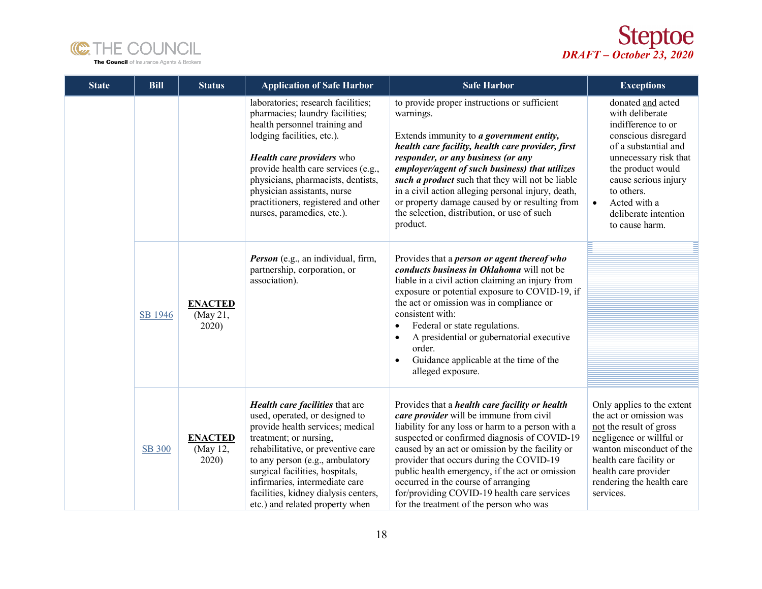



| <b>State</b> | <b>Bill</b>   | <b>Status</b>                       | <b>Application of Safe Harbor</b>                                                                                                                                                                                                                                                                                                                         | <b>Safe Harbor</b>                                                                                                                                                                                                                                                                                                                                                                                                                                                                       | <b>Exceptions</b>                                                                                                                                                                                                                                                    |
|--------------|---------------|-------------------------------------|-----------------------------------------------------------------------------------------------------------------------------------------------------------------------------------------------------------------------------------------------------------------------------------------------------------------------------------------------------------|------------------------------------------------------------------------------------------------------------------------------------------------------------------------------------------------------------------------------------------------------------------------------------------------------------------------------------------------------------------------------------------------------------------------------------------------------------------------------------------|----------------------------------------------------------------------------------------------------------------------------------------------------------------------------------------------------------------------------------------------------------------------|
|              |               |                                     | laboratories; research facilities;<br>pharmacies; laundry facilities;<br>health personnel training and<br>lodging facilities, etc.).<br><b>Health care providers</b> who<br>provide health care services (e.g.,<br>physicians, pharmacists, dentists,<br>physician assistants, nurse<br>practitioners, registered and other<br>nurses, paramedics, etc.). | to provide proper instructions or sufficient<br>warnings.<br>Extends immunity to a government entity,<br>health care facility, health care provider, first<br>responder, or any business (or any<br>employer/agent of such business) that utilizes<br>such a product such that they will not be liable<br>in a civil action alleging personal injury, death,<br>or property damage caused by or resulting from<br>the selection, distribution, or use of such<br>product.                | donated and acted<br>with deliberate<br>indifference to or<br>conscious disregard<br>of a substantial and<br>unnecessary risk that<br>the product would<br>cause serious injury<br>to others.<br>Acted with a<br>$\bullet$<br>deliberate intention<br>to cause harm. |
|              | SB 1946       | <b>ENACTED</b><br>(May 21,<br>2020) | Person (e.g., an individual, firm,<br>partnership, corporation, or<br>association).                                                                                                                                                                                                                                                                       | Provides that a <i>person</i> or agent thereof who<br>conducts business in Oklahoma will not be<br>liable in a civil action claiming an injury from<br>exposure or potential exposure to COVID-19, if<br>the act or omission was in compliance or<br>consistent with:<br>Federal or state regulations.<br>A presidential or gubernatorial executive<br>$\bullet$<br>order.<br>Guidance applicable at the time of the<br>alleged exposure.                                                |                                                                                                                                                                                                                                                                      |
|              | <b>SB 300</b> | <b>ENACTED</b><br>(May 12,<br>2020) | Health care facilities that are<br>used, operated, or designed to<br>provide health services; medical<br>treatment; or nursing,<br>rehabilitative, or preventive care<br>to any person (e.g., ambulatory<br>surgical facilities, hospitals,<br>infirmaries, intermediate care<br>facilities, kidney dialysis centers,<br>etc.) and related property when  | Provides that a <i>health care facility or health</i><br>care provider will be immune from civil<br>liability for any loss or harm to a person with a<br>suspected or confirmed diagnosis of COVID-19<br>caused by an act or omission by the facility or<br>provider that occurs during the COVID-19<br>public health emergency, if the act or omission<br>occurred in the course of arranging<br>for/providing COVID-19 health care services<br>for the treatment of the person who was | Only applies to the extent<br>the act or omission was<br>not the result of gross<br>negligence or willful or<br>wanton misconduct of the<br>health care facility or<br>health care provider<br>rendering the health care<br>services.                                |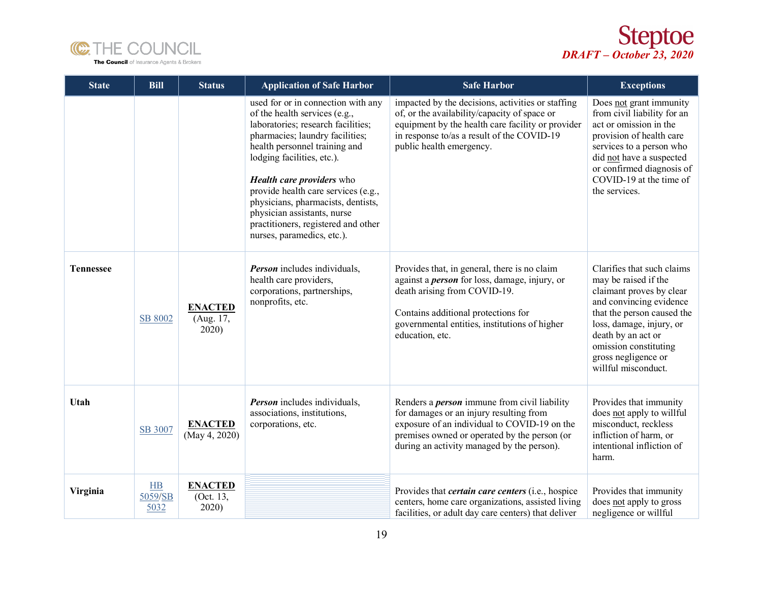



| <b>State</b>     | <b>Bill</b>            | <b>Status</b>                        | <b>Application of Safe Harbor</b>                                                                                                                                                                                                                                                                                                                                                                                                | <b>Safe Harbor</b>                                                                                                                                                                                                                              | <b>Exceptions</b>                                                                                                                                                                                                                                                |
|------------------|------------------------|--------------------------------------|----------------------------------------------------------------------------------------------------------------------------------------------------------------------------------------------------------------------------------------------------------------------------------------------------------------------------------------------------------------------------------------------------------------------------------|-------------------------------------------------------------------------------------------------------------------------------------------------------------------------------------------------------------------------------------------------|------------------------------------------------------------------------------------------------------------------------------------------------------------------------------------------------------------------------------------------------------------------|
|                  |                        |                                      | used for or in connection with any<br>of the health services (e.g.,<br>laboratories; research facilities;<br>pharmacies; laundry facilities;<br>health personnel training and<br>lodging facilities, etc.).<br><b>Health care providers</b> who<br>provide health care services (e.g.,<br>physicians, pharmacists, dentists,<br>physician assistants, nurse<br>practitioners, registered and other<br>nurses, paramedics, etc.). | impacted by the decisions, activities or staffing<br>of, or the availability/capacity of space or<br>equipment by the health care facility or provider<br>in response to/as a result of the COVID-19<br>public health emergency.                | Does not grant immunity<br>from civil liability for an<br>act or omission in the<br>provision of health care<br>services to a person who<br>did not have a suspected<br>or confirmed diagnosis of<br>COVID-19 at the time of<br>the services.                    |
| <b>Tennessee</b> | SB 8002                | <b>ENACTED</b><br>(Aug. 17,<br>2020) | <b>Person</b> includes individuals,<br>health care providers,<br>corporations, partnerships,<br>nonprofits, etc.                                                                                                                                                                                                                                                                                                                 | Provides that, in general, there is no claim<br>against a <i>person</i> for loss, damage, injury, or<br>death arising from COVID-19.<br>Contains additional protections for<br>governmental entities, institutions of higher<br>education, etc. | Clarifies that such claims<br>may be raised if the<br>claimant proves by clear<br>and convincing evidence<br>that the person caused the<br>loss, damage, injury, or<br>death by an act or<br>omission constituting<br>gross negligence or<br>willful misconduct. |
| Utah             | SB 3007                | <b>ENACTED</b><br>(May 4, 2020)      | <b>Person</b> includes individuals,<br>associations, institutions,<br>corporations, etc.                                                                                                                                                                                                                                                                                                                                         | Renders a <i>person</i> immune from civil liability<br>for damages or an injury resulting from<br>exposure of an individual to COVID-19 on the<br>premises owned or operated by the person (or<br>during an activity managed by the person).    | Provides that immunity<br>does not apply to willful<br>misconduct, reckless<br>infliction of harm, or<br>intentional infliction of<br>harm.                                                                                                                      |
| Virginia         | H B<br>5059/SB<br>5032 | <b>ENACTED</b><br>(Oct. 13,<br>2020) |                                                                                                                                                                                                                                                                                                                                                                                                                                  | Provides that <i>certain care centers</i> (i.e., hospice<br>centers, home care organizations, assisted living<br>facilities, or adult day care centers) that deliver                                                                            | Provides that immunity<br>does not apply to gross<br>negligence or willful                                                                                                                                                                                       |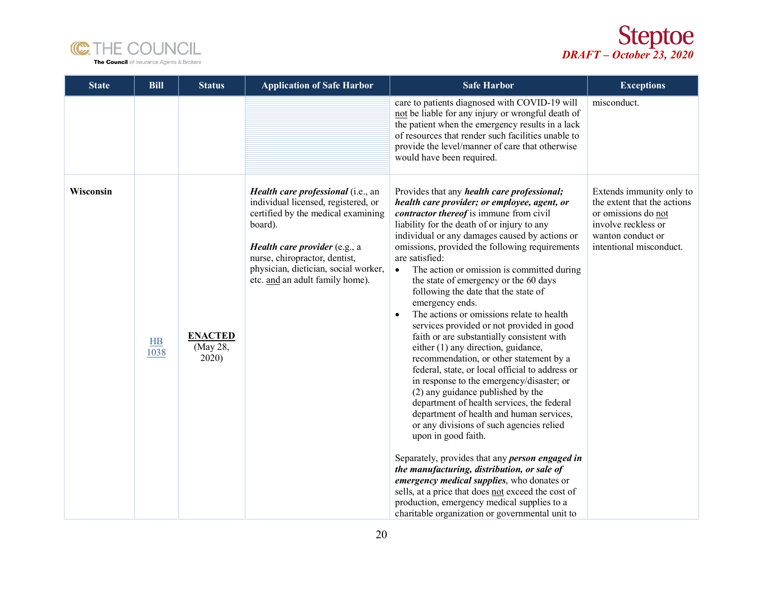



| <b>State</b> | <b>Bill</b>            | <b>Status</b>                       | <b>Application of Safe Harbor</b>                                                                                                                                                                                                                                       | <b>Safe Harbor</b>                                                                                                                                                                                                                                                                                                                                                                                                                                                                                                                                                                                                                                                                                                                                                                                                                                                                                                                                                                                                                                                                                                                                                                                                                                                                                                                         | <b>Exceptions</b>                                                                                                                                     |
|--------------|------------------------|-------------------------------------|-------------------------------------------------------------------------------------------------------------------------------------------------------------------------------------------------------------------------------------------------------------------------|--------------------------------------------------------------------------------------------------------------------------------------------------------------------------------------------------------------------------------------------------------------------------------------------------------------------------------------------------------------------------------------------------------------------------------------------------------------------------------------------------------------------------------------------------------------------------------------------------------------------------------------------------------------------------------------------------------------------------------------------------------------------------------------------------------------------------------------------------------------------------------------------------------------------------------------------------------------------------------------------------------------------------------------------------------------------------------------------------------------------------------------------------------------------------------------------------------------------------------------------------------------------------------------------------------------------------------------------|-------------------------------------------------------------------------------------------------------------------------------------------------------|
|              |                        |                                     |                                                                                                                                                                                                                                                                         | care to patients diagnosed with COVID-19 will<br>not be liable for any injury or wrongful death of<br>the patient when the emergency results in a lack<br>of resources that render such facilities unable to<br>provide the level/manner of care that otherwise<br>would have been required.                                                                                                                                                                                                                                                                                                                                                                                                                                                                                                                                                                                                                                                                                                                                                                                                                                                                                                                                                                                                                                               | misconduct.                                                                                                                                           |
| Wisconsin    | H <sub>B</sub><br>1038 | <b>ENACTED</b><br>(May 28,<br>2020) | Health care professional (i.e., an<br>individual licensed, registered, or<br>certified by the medical examining<br>board).<br>Health care provider (e.g., a<br>nurse, chiropractor, dentist,<br>physician, dietician, social worker,<br>etc. and an adult family home). | Provides that any <i>health care professional</i> ;<br>health care provider; or employee, agent, or<br>contractor thereof is immune from civil<br>liability for the death of or injury to any<br>individual or any damages caused by actions or<br>omissions, provided the following requirements<br>are satisfied:<br>The action or omission is committed during<br>$\bullet$<br>the state of emergency or the 60 days<br>following the date that the state of<br>emergency ends.<br>The actions or omissions relate to health<br>$\bullet$<br>services provided or not provided in good<br>faith or are substantially consistent with<br>either (1) any direction, guidance,<br>recommendation, or other statement by a<br>federal, state, or local official to address or<br>in response to the emergency/disaster; or<br>(2) any guidance published by the<br>department of health services, the federal<br>department of health and human services,<br>or any divisions of such agencies relied<br>upon in good faith.<br>Separately, provides that any <i>person engaged in</i><br>the manufacturing, distribution, or sale of<br>emergency medical supplies, who donates or<br>sells, at a price that does not exceed the cost of<br>production, emergency medical supplies to a<br>charitable organization or governmental unit to | Extends immunity only to<br>the extent that the actions<br>or omissions do not<br>involve reckless or<br>wanton conduct or<br>intentional misconduct. |